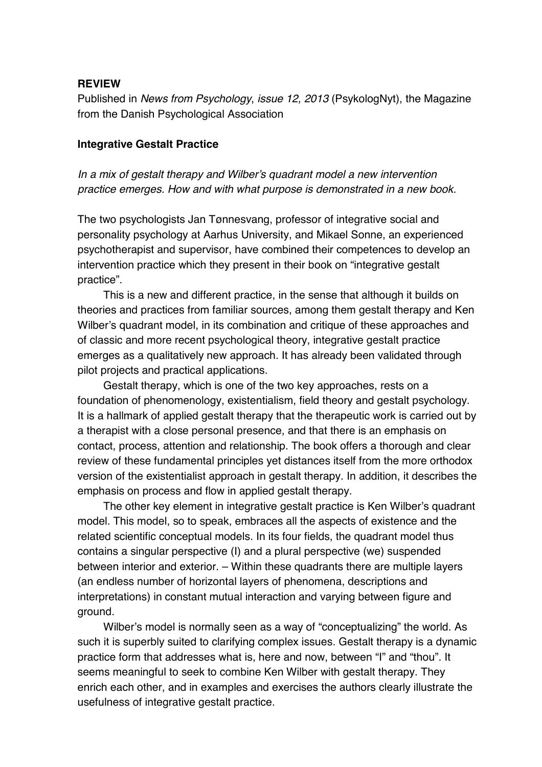## **REVIEW**

Published in *News from Psychology*, *issue 12, 2013* (PsykologNyt), the Magazine from the Danish Psychological Association

## **Integrative Gestalt Practice**

*In a mix of gestalt therapy and Wilber's quadrant model a new intervention practice emerges. How and with what purpose is demonstrated in a new book.* 

The two psychologists Jan Tønnesvang, professor of integrative social and personality psychology at Aarhus University, and Mikael Sonne, an experienced psychotherapist and supervisor, have combined their competences to develop an intervention practice which they present in their book on "integrative gestalt practice".

 This is a new and different practice, in the sense that although it builds on theories and practices from familiar sources, among them gestalt therapy and Ken Wilber's quadrant model, in its combination and critique of these approaches and of classic and more recent psychological theory, integrative gestalt practice emerges as a qualitatively new approach. It has already been validated through pilot projects and practical applications.

 Gestalt therapy, which is one of the two key approaches, rests on a foundation of phenomenology, existentialism, field theory and gestalt psychology. It is a hallmark of applied gestalt therapy that the therapeutic work is carried out by a therapist with a close personal presence, and that there is an emphasis on contact, process, attention and relationship. The book offers a thorough and clear review of these fundamental principles yet distances itself from the more orthodox version of the existentialist approach in gestalt therapy. In addition, it describes the emphasis on process and flow in applied gestalt therapy.

 The other key element in integrative gestalt practice is Ken Wilber's quadrant model. This model, so to speak, embraces all the aspects of existence and the related scientific conceptual models. In its four fields, the quadrant model thus contains a singular perspective (I) and a plural perspective (we) suspended between interior and exterior. – Within these quadrants there are multiple layers (an endless number of horizontal layers of phenomena, descriptions and interpretations) in constant mutual interaction and varying between figure and ground.

 Wilber's model is normally seen as a way of "conceptualizing" the world. As such it is superbly suited to clarifying complex issues. Gestalt therapy is a dynamic practice form that addresses what is, here and now, between "I" and "thou". It seems meaningful to seek to combine Ken Wilber with gestalt therapy. They enrich each other, and in examples and exercises the authors clearly illustrate the usefulness of integrative gestalt practice.